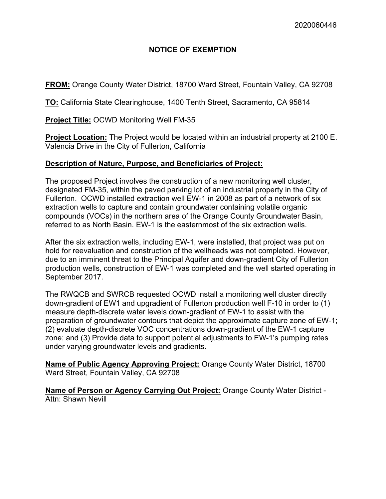# NOTICE OF EXEMPTION

FROM: Orange County Water District, 18700 Ward Street, Fountain Valley, CA 92708

TO: California State Clearinghouse, 1400 Tenth Street, Sacramento, CA 95814

### Project Title: OCWD Monitoring Well FM-35

Project Location: The Project would be located within an industrial property at 2100 E. Valencia Drive in the City of Fullerton, California

# Description of Nature, Purpose, and Beneficiaries of Project:

The proposed Project involves the construction of a new monitoring well cluster, designated FM-35, within the paved parking lot of an industrial property in the City of Fullerton. OCWD installed extraction well EW-1 in 2008 as part of a network of six extraction wells to capture and contain groundwater containing volatile organic compounds (VOCs) in the northern area of the Orange County Groundwater Basin, referred to as North Basin. EW-1 is the easternmost of the six extraction wells.

After the six extraction wells, including EW-1, were installed, that project was put on hold for reevaluation and construction of the wellheads was not completed. However, due to an imminent threat to the Principal Aquifer and down-gradient City of Fullerton production wells, construction of EW-1 was completed and the well started operating in September 2017.

The RWQCB and SWRCB requested OCWD install a monitoring well cluster directly down-gradient of EW1 and upgradient of Fullerton production well F-10 in order to (1) measure depth-discrete water levels down-gradient of EW-1 to assist with the preparation of groundwater contours that depict the approximate capture zone of EW-1; (2) evaluate depth-discrete VOC concentrations down-gradient of the EW-1 capture zone; and (3) Provide data to support potential adjustments to EW-1's pumping rates under varying groundwater levels and gradients.

Name of Public Agency Approving Project: Orange County Water District, 18700 Ward Street, Fountain Valley, CA 92708

Name of Person or Agency Carrying Out Project: Orange County Water District -Attn: Shawn Nevill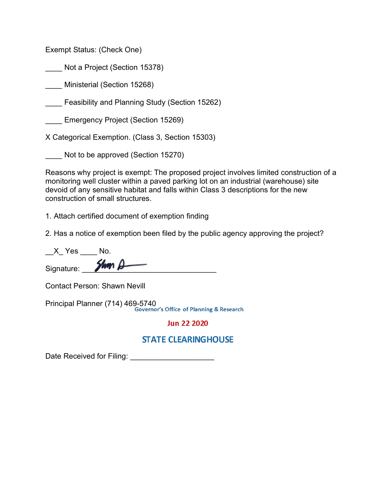Exempt Status: (Check One)

\_\_\_\_ Not a Project (Section 15378)

\_\_\_\_ Ministerial (Section 15268)

Feasibility and Planning Study (Section 15262)

Emergency Project (Section 15269)

X Categorical Exemption. (Class 3, Section 15303)

Not to be approved (Section 15270)

Reasons why project is exempt: The proposed project involves limited construction of a monitoring well cluster within a paved parking lot on an industrial (warehouse) site devoid of any sensitive habitat and falls within Class 3 descriptions for the new construction of small structures.

1. Attach certified document of exemption finding

2. Has a notice of exemption been filed by the public agency approving the project?

| X Yes      |         |  |
|------------|---------|--|
| Signature: | $2km +$ |  |

Contact Person: Shawn Nevill

Principal Planner (714) 469-5740

**Jun 22 2020** 

# **STATE CLEARINGHOUSE**

Date Received for Filing: \_\_\_\_\_\_\_\_\_\_\_\_\_\_\_\_\_\_\_\_